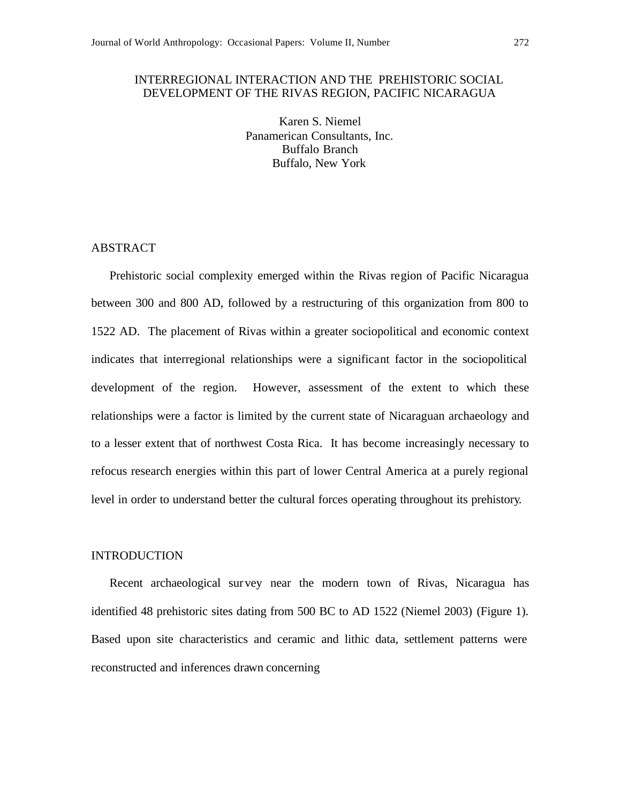## INTERREGIONAL INTERACTION AND THE PREHISTORIC SOCIAL DEVELOPMENT OF THE RIVAS REGION, PACIFIC NICARAGUA

Karen S. Niemel Panamerican Consultants, Inc. Buffalo Branch Buffalo, New York

# ABSTRACT

Prehistoric social complexity emerged within the Rivas region of Pacific Nicaragua between 300 and 800 AD, followed by a restructuring of this organization from 800 to 1522 AD. The placement of Rivas within a greater sociopolitical and economic context indicates that interregional relationships were a significant factor in the sociopolitical development of the region. However, assessment of the extent to which these relationships were a factor is limited by the current state of Nicaraguan archaeology and to a lesser extent that of northwest Costa Rica. It has become increasingly necessary to refocus research energies within this part of lower Central America at a purely regional level in order to understand better the cultural forces operating throughout its prehistory.

#### INTRODUCTION

Recent archaeological survey near the modern town of Rivas, Nicaragua has identified 48 prehistoric sites dating from 500 BC to AD 1522 (Niemel 2003) (Figure 1). Based upon site characteristics and ceramic and lithic data, settlement patterns were reconstructed and inferences drawn concerning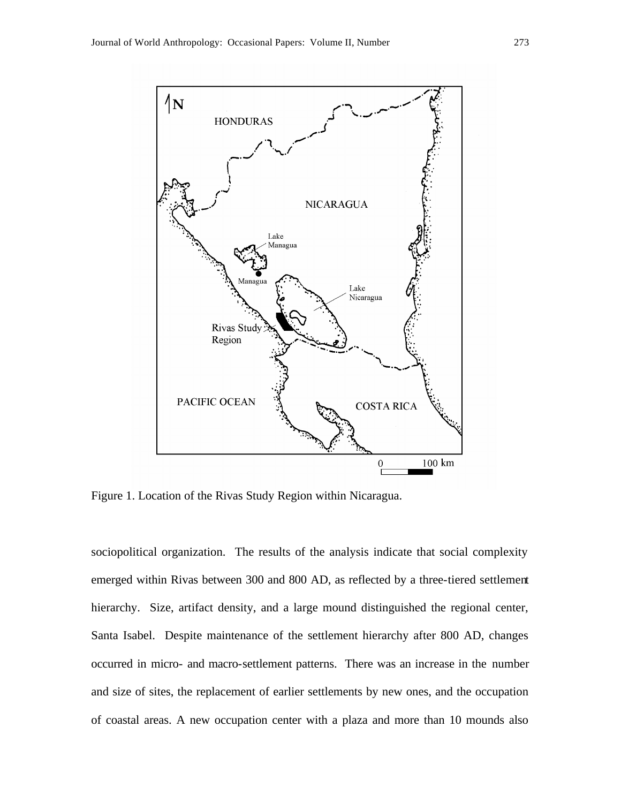

Figure 1. Location of the Rivas Study Region within Nicaragua.

sociopolitical organization. The results of the analysis indicate that social complexity emerged within Rivas between 300 and 800 AD, as reflected by a three-tiered settlement hierarchy. Size, artifact density, and a large mound distinguished the regional center, Santa Isabel. Despite maintenance of the settlement hierarchy after 800 AD, changes occurred in micro- and macro-settlement patterns. There was an increase in the number and size of sites, the replacement of earlier settlements by new ones, and the occupation of coastal areas. A new occupation center with a plaza and more than 10 mounds also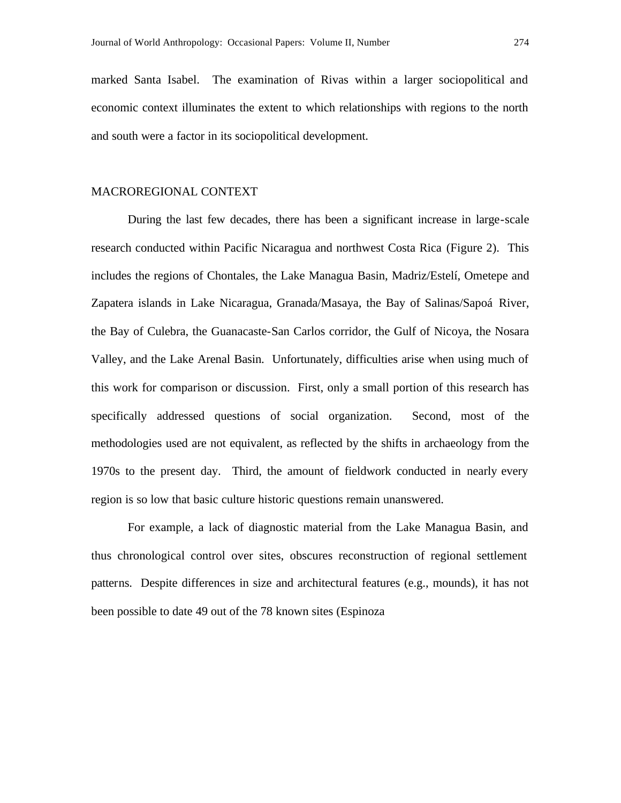marked Santa Isabel. The examination of Rivas within a larger sociopolitical and economic context illuminates the extent to which relationships with regions to the north and south were a factor in its sociopolitical development.

### MACROREGIONAL CONTEXT

During the last few decades, there has been a significant increase in large-scale research conducted within Pacific Nicaragua and northwest Costa Rica (Figure 2). This includes the regions of Chontales, the Lake Managua Basin, Madriz/Estelí, Ometepe and Zapatera islands in Lake Nicaragua, Granada/Masaya, the Bay of Salinas/Sapoá River, the Bay of Culebra, the Guanacaste-San Carlos corridor, the Gulf of Nicoya, the Nosara Valley, and the Lake Arenal Basin. Unfortunately, difficulties arise when using much of this work for comparison or discussion. First, only a small portion of this research has specifically addressed questions of social organization. Second, most of the methodologies used are not equivalent, as reflected by the shifts in archaeology from the 1970s to the present day. Third, the amount of fieldwork conducted in nearly every region is so low that basic culture historic questions remain unanswered.

For example, a lack of diagnostic material from the Lake Managua Basin, and thus chronological control over sites, obscures reconstruction of regional settlement patterns. Despite differences in size and architectural features (e.g., mounds), it has not been possible to date 49 out of the 78 known sites (Espinoza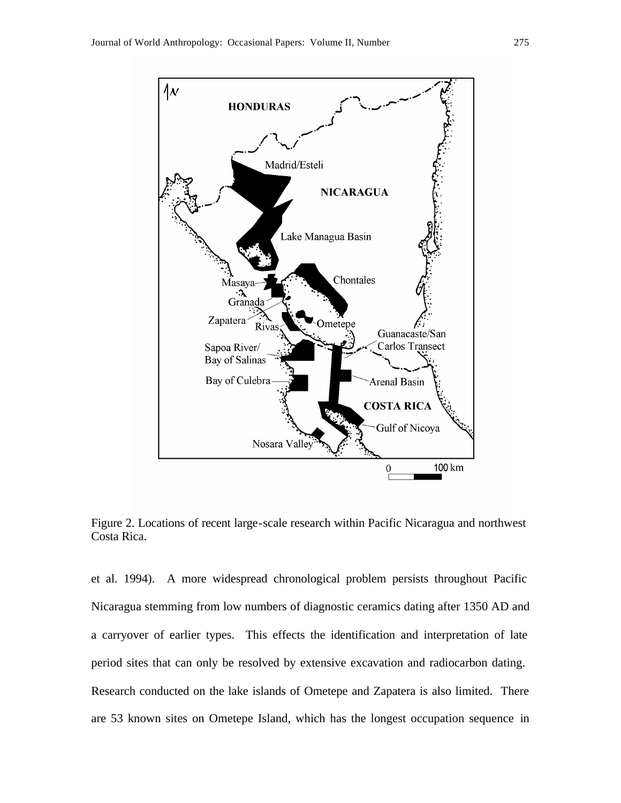

Figure 2. Locations of recent large-scale research within Pacific Nicaragua and northwest Costa Rica.

et al. 1994). A more widespread chronological problem persists throughout Pacific Nicaragua stemming from low numbers of diagnostic ceramics dating after 1350 AD and a carryover of earlier types. This effects the identification and interpretation of late period sites that can only be resolved by extensive excavation and radiocarbon dating. Research conducted on the lake islands of Ometepe and Zapatera is also limited. There are 53 known sites on Ometepe Island, which has the longest occupation sequence in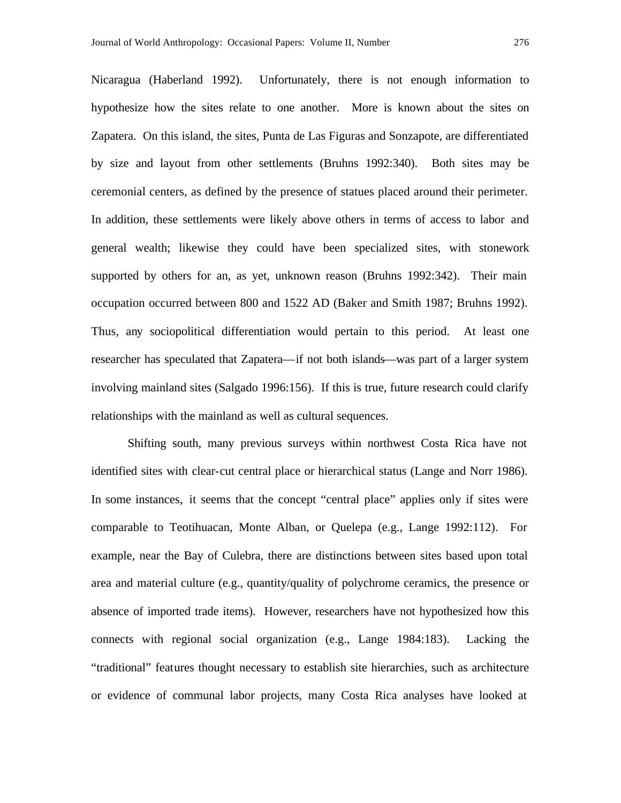Nicaragua (Haberland 1992). Unfortunately, there is not enough information to hypothesize how the sites relate to one another. More is known about the sites on Zapatera. On this island, the sites, Punta de Las Figuras and Sonzapote, are differentiated by size and layout from other settlements (Bruhns 1992:340). Both sites may be ceremonial centers, as defined by the presence of statues placed around their perimeter. In addition, these settlements were likely above others in terms of access to labor and general wealth; likewise they could have been specialized sites, with stonework supported by others for an, as yet, unknown reason (Bruhns 1992:342). Their main occupation occurred between 800 and 1522 AD (Baker and Smith 1987; Bruhns 1992). Thus, any sociopolitical differentiation would pertain to this period. At least one researcher has speculated that Zapatera—if not both islands—was part of a larger system involving mainland sites (Salgado 1996:156). If this is true, future research could clarify relationships with the mainland as well as cultural sequences.

Shifting south, many previous surveys within northwest Costa Rica have not identified sites with clear-cut central place or hierarchical status (Lange and Norr 1986). In some instances, it seems that the concept "central place" applies only if sites were comparable to Teotihuacan, Monte Alban, or Quelepa (e.g., Lange 1992:112). For example, near the Bay of Culebra, there are distinctions between sites based upon total area and material culture (e.g., quantity/quality of polychrome ceramics, the presence or absence of imported trade items). However, researchers have not hypothesized how this connects with regional social organization (e.g., Lange 1984:183). Lacking the "traditional" features thought necessary to establish site hierarchies, such as architecture or evidence of communal labor projects, many Costa Rica analyses have looked at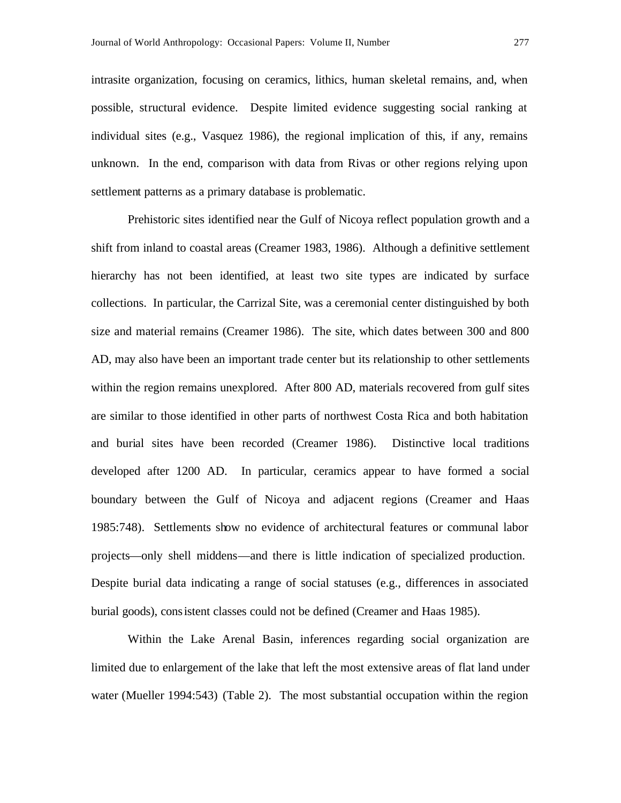intrasite organization, focusing on ceramics, lithics, human skeletal remains, and, when possible, structural evidence. Despite limited evidence suggesting social ranking at individual sites (e.g., Vasquez 1986), the regional implication of this, if any, remains unknown. In the end, comparison with data from Rivas or other regions relying upon settlement patterns as a primary database is problematic.

Prehistoric sites identified near the Gulf of Nicoya reflect population growth and a shift from inland to coastal areas (Creamer 1983, 1986). Although a definitive settlement hierarchy has not been identified, at least two site types are indicated by surface collections. In particular, the Carrizal Site, was a ceremonial center distinguished by both size and material remains (Creamer 1986). The site, which dates between 300 and 800 AD, may also have been an important trade center but its relationship to other settlements within the region remains unexplored. After 800 AD, materials recovered from gulf sites are similar to those identified in other parts of northwest Costa Rica and both habitation and burial sites have been recorded (Creamer 1986). Distinctive local traditions developed after 1200 AD. In particular, ceramics appear to have formed a social boundary between the Gulf of Nicoya and adjacent regions (Creamer and Haas 1985:748). Settlements show no evidence of architectural features or communal labor projects—only shell middens—and there is little indication of specialized production. Despite burial data indicating a range of social statuses (e.g., differences in associated burial goods), consistent classes could not be defined (Creamer and Haas 1985).

Within the Lake Arenal Basin, inferences regarding social organization are limited due to enlargement of the lake that left the most extensive areas of flat land under water (Mueller 1994:543) (Table 2). The most substantial occupation within the region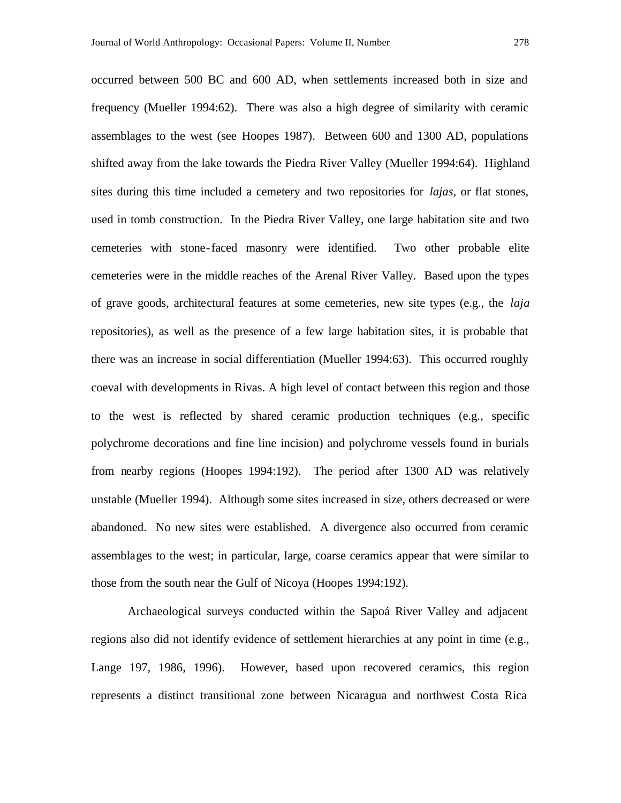occurred between 500 BC and 600 AD, when settlements increased both in size and frequency (Mueller 1994:62). There was also a high degree of similarity with ceramic assemblages to the west (see Hoopes 1987). Between 600 and 1300 AD, populations shifted away from the lake towards the Piedra River Valley (Mueller 1994:64). Highland sites during this time included a cemetery and two repositories for *lajas*, or flat stones, used in tomb construction. In the Piedra River Valley, one large habitation site and two cemeteries with stone-faced masonry were identified. Two other probable elite cemeteries were in the middle reaches of the Arenal River Valley. Based upon the types of grave goods, architectural features at some cemeteries, new site types (e.g., the *laja* repositories), as well as the presence of a few large habitation sites, it is probable that there was an increase in social differentiation (Mueller 1994:63). This occurred roughly coeval with developments in Rivas. A high level of contact between this region and those to the west is reflected by shared ceramic production techniques (e.g., specific polychrome decorations and fine line incision) and polychrome vessels found in burials from nearby regions (Hoopes 1994:192). The period after 1300 AD was relatively unstable (Mueller 1994). Although some sites increased in size, others decreased or were abandoned. No new sites were established. A divergence also occurred from ceramic assemblages to the west; in particular, large, coarse ceramics appear that were similar to those from the south near the Gulf of Nicoya (Hoopes 1994:192).

Archaeological surveys conducted within the Sapoá River Valley and adjacent regions also did not identify evidence of settlement hierarchies at any point in time (e.g., Lange 197, 1986, 1996). However, based upon recovered ceramics, this region represents a distinct transitional zone between Nicaragua and northwest Costa Rica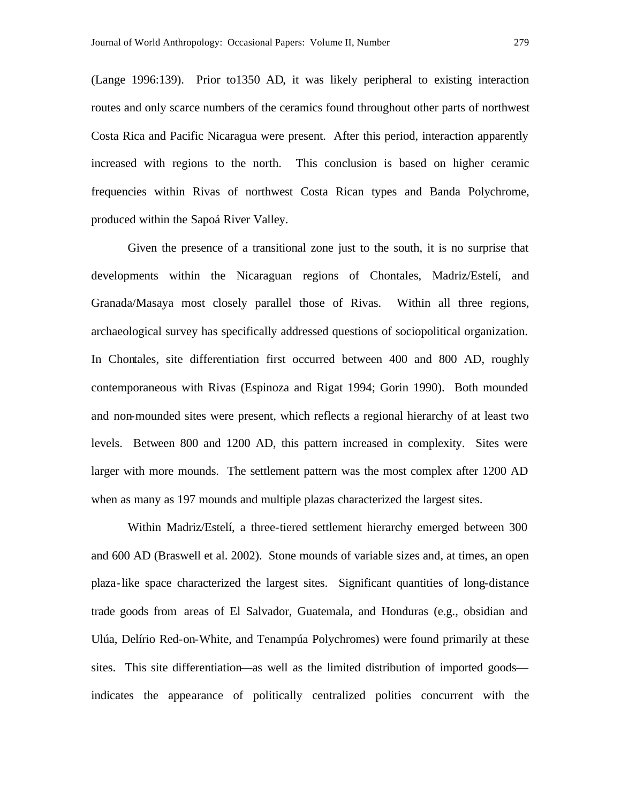(Lange 1996:139). Prior to1350 AD, it was likely peripheral to existing interaction routes and only scarce numbers of the ceramics found throughout other parts of northwest Costa Rica and Pacific Nicaragua were present. After this period, interaction apparently increased with regions to the north. This conclusion is based on higher ceramic frequencies within Rivas of northwest Costa Rican types and Banda Polychrome, produced within the Sapoá River Valley.

Given the presence of a transitional zone just to the south, it is no surprise that developments within the Nicaraguan regions of Chontales, Madriz/Estelí, and Granada/Masaya most closely parallel those of Rivas. Within all three regions, archaeological survey has specifically addressed questions of sociopolitical organization. In Chontales, site differentiation first occurred between 400 and 800 AD, roughly contemporaneous with Rivas (Espinoza and Rigat 1994; Gorin 1990). Both mounded and non-mounded sites were present, which reflects a regional hierarchy of at least two levels. Between 800 and 1200 AD, this pattern increased in complexity. Sites were larger with more mounds. The settlement pattern was the most complex after 1200 AD when as many as 197 mounds and multiple plazas characterized the largest sites.

Within Madriz/Estelí, a three-tiered settlement hierarchy emerged between 300 and 600 AD (Braswell et al. 2002). Stone mounds of variable sizes and, at times, an open plaza-like space characterized the largest sites. Significant quantities of long-distance trade goods from areas of El Salvador, Guatemala, and Honduras (e.g., obsidian and Ulúa, Delírio Red-on-White, and Tenampúa Polychromes) were found primarily at these sites. This site differentiation—as well as the limited distribution of imported goods indicates the appearance of politically centralized polities concurrent with the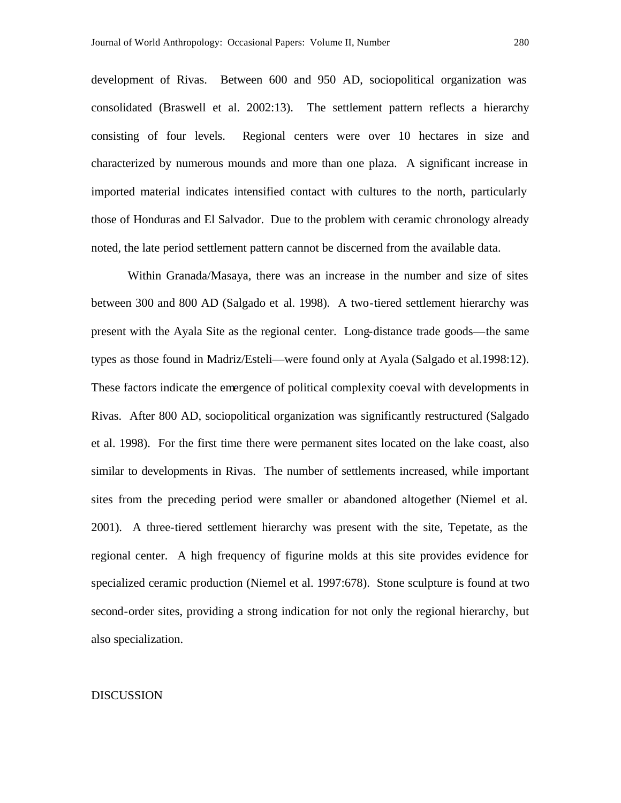development of Rivas. Between 600 and 950 AD, sociopolitical organization was consolidated (Braswell et al. 2002:13). The settlement pattern reflects a hierarchy consisting of four levels. Regional centers were over 10 hectares in size and characterized by numerous mounds and more than one plaza. A significant increase in imported material indicates intensified contact with cultures to the north, particularly those of Honduras and El Salvador. Due to the problem with ceramic chronology already noted, the late period settlement pattern cannot be discerned from the available data.

Within Granada/Masaya, there was an increase in the number and size of sites between 300 and 800 AD (Salgado et al. 1998). A two-tiered settlement hierarchy was present with the Ayala Site as the regional center. Long-distance trade goods—the same types as those found in Madriz/Esteli—were found only at Ayala (Salgado et al.1998:12). These factors indicate the emergence of political complexity coeval with developments in Rivas. After 800 AD, sociopolitical organization was significantly restructured (Salgado et al. 1998). For the first time there were permanent sites located on the lake coast, also similar to developments in Rivas. The number of settlements increased, while important sites from the preceding period were smaller or abandoned altogether (Niemel et al. 2001). A three-tiered settlement hierarchy was present with the site, Tepetate, as the regional center. A high frequency of figurine molds at this site provides evidence for specialized ceramic production (Niemel et al. 1997:678). Stone sculpture is found at two second-order sites, providing a strong indication for not only the regional hierarchy, but also specialization.

#### DISCUSSION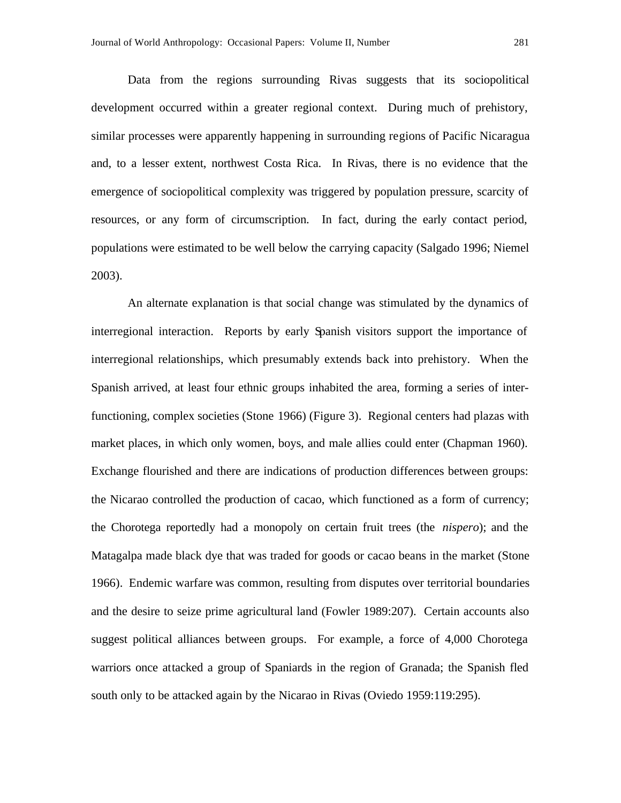Data from the regions surrounding Rivas suggests that its sociopolitical development occurred within a greater regional context. During much of prehistory, similar processes were apparently happening in surrounding regions of Pacific Nicaragua and, to a lesser extent, northwest Costa Rica. In Rivas, there is no evidence that the emergence of sociopolitical complexity was triggered by population pressure, scarcity of resources, or any form of circumscription. In fact, during the early contact period, populations were estimated to be well below the carrying capacity (Salgado 1996; Niemel 2003).

An alternate explanation is that social change was stimulated by the dynamics of interregional interaction. Reports by early Spanish visitors support the importance of interregional relationships, which presumably extends back into prehistory. When the Spanish arrived, at least four ethnic groups inhabited the area, forming a series of interfunctioning, complex societies (Stone 1966) (Figure 3). Regional centers had plazas with market places, in which only women, boys, and male allies could enter (Chapman 1960). Exchange flourished and there are indications of production differences between groups: the Nicarao controlled the production of cacao, which functioned as a form of currency; the Chorotega reportedly had a monopoly on certain fruit trees (the *nispero*); and the Matagalpa made black dye that was traded for goods or cacao beans in the market (Stone 1966). Endemic warfare was common, resulting from disputes over territorial boundaries and the desire to seize prime agricultural land (Fowler 1989:207). Certain accounts also suggest political alliances between groups. For example, a force of 4,000 Chorotega warriors once attacked a group of Spaniards in the region of Granada; the Spanish fled south only to be attacked again by the Nicarao in Rivas (Oviedo 1959:119:295).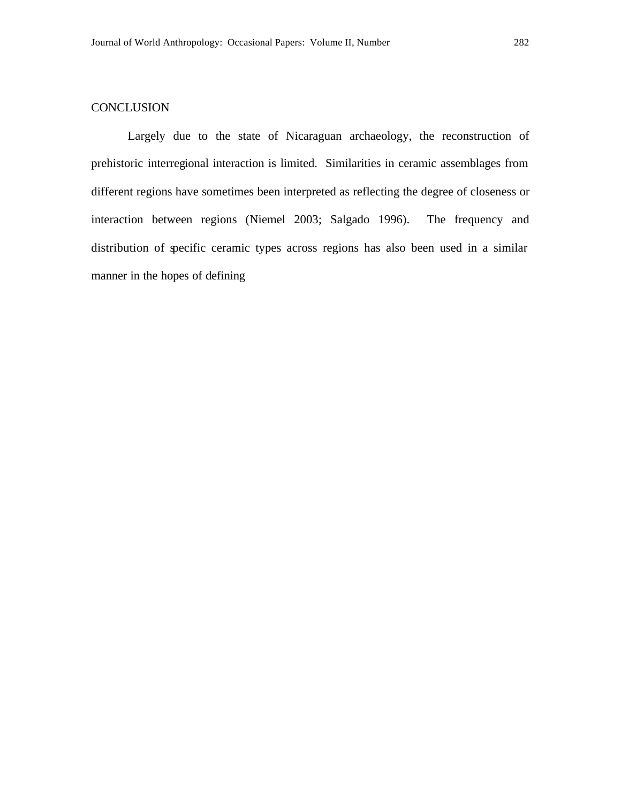# **CONCLUSION**

Largely due to the state of Nicaraguan archaeology, the reconstruction of prehistoric interregional interaction is limited. Similarities in ceramic assemblages from different regions have sometimes been interpreted as reflecting the degree of closeness or interaction between regions (Niemel 2003; Salgado 1996). The frequency and distribution of specific ceramic types across regions has also been used in a similar manner in the hopes of defining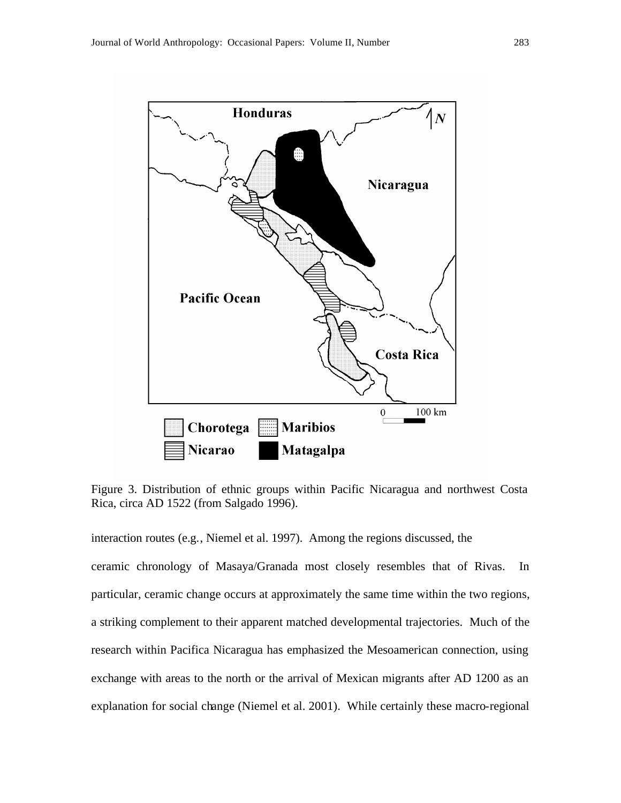

Figure 3. Distribution of ethnic groups within Pacific Nicaragua and northwest Costa Rica, circa AD 1522 (from Salgado 1996).

interaction routes (e.g., Niemel et al. 1997). Among the regions discussed, the ceramic chronology of Masaya/Granada most closely resembles that of Rivas. In particular, ceramic change occurs at approximately the same time within the two regions, a striking complement to their apparent matched developmental trajectories. Much of the research within Pacifica Nicaragua has emphasized the Mesoamerican connection, using exchange with areas to the north or the arrival of Mexican migrants after AD 1200 as an explanation for social change (Niemel et al. 2001). While certainly these macro-regional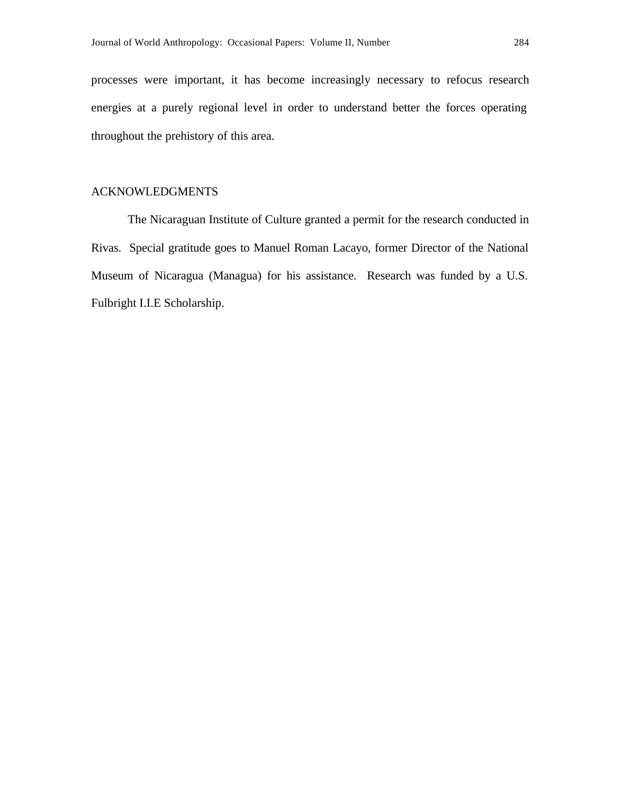processes were important, it has become increasingly necessary to refocus research energies at a purely regional level in order to understand better the forces operating throughout the prehistory of this area.

# ACKNOWLEDGMENTS

The Nicaraguan Institute of Culture granted a permit for the research conducted in Rivas. Special gratitude goes to Manuel Roman Lacayo, former Director of the National Museum of Nicaragua (Managua) for his assistance. Research was funded by a U.S. Fulbright I.I.E Scholarship.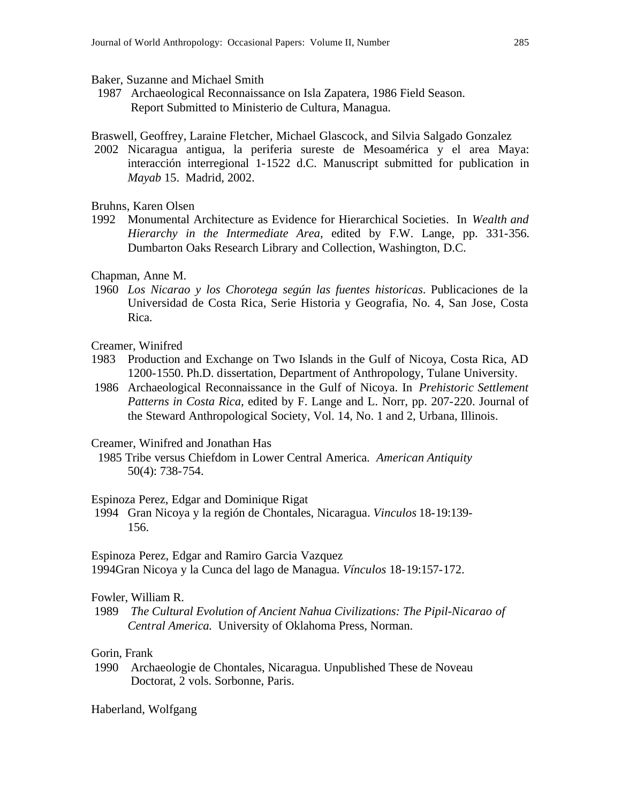#### Baker, Suzanne and Michael Smith

1987 Archaeological Reconnaissance on Isla Zapatera, 1986 Field Season. Report Submitted to Ministerio de Cultura, Managua.

Braswell, Geoffrey, Laraine Fletcher, Michael Glascock, and Silvia Salgado Gonzalez

2002 Nicaragua antigua, la periferia sureste de Mesoamérica y el area Maya: interacción interregional 1-1522 d.C. Manuscript submitted for publication in *Mayab* 15. Madrid, 2002.

## Bruhns, Karen Olsen

1992 Monumental Architecture as Evidence for Hierarchical Societies. In *Wealth and Hierarchy in the Intermediate Area*, edited by F.W. Lange, pp. 331-356. Dumbarton Oaks Research Library and Collection, Washington, D.C.

#### Chapman, Anne M.

1960 *Los Nicarao y los Chorotega según las fuentes historicas*. Publicaciones de la Universidad de Costa Rica, Serie Historia y Geografia, No. 4, San Jose, Costa Rica.

# Creamer, Winifred

- 1983 Production and Exchange on Two Islands in the Gulf of Nicoya, Costa Rica, AD 1200-1550. Ph.D. dissertation, Department of Anthropology, Tulane University.
- 1986 Archaeological Reconnaissance in the Gulf of Nicoya. In *Prehistoric Settlement Patterns in Costa Rica,* edited by F. Lange and L. Norr, pp. 207-220. Journal of the Steward Anthropological Society, Vol. 14, No. 1 and 2, Urbana, Illinois.

## Creamer, Winifred and Jonathan Has

 1985 Tribe versus Chiefdom in Lower Central America. *American Antiquity* 50(4): 738-754.

### Espinoza Perez, Edgar and Dominique Rigat

1994 Gran Nicoya y la región de Chontales, Nicaragua. *Vinculos* 18-19:139- 156.

Espinoza Perez, Edgar and Ramiro Garcia Vazquez 1994Gran Nicoya y la Cunca del lago de Managua. *Vínculos* 18-19:157-172.

#### Fowler, William R.

1989 *The Cultural Evolution of Ancient Nahua Civilizations: The Pipil-Nicarao of Central America.* University of Oklahoma Press, Norman.

# Gorin, Frank

1990 Archaeologie de Chontales, Nicaragua. Unpublished These de Noveau Doctorat, 2 vols. Sorbonne, Paris.

#### Haberland, Wolfgang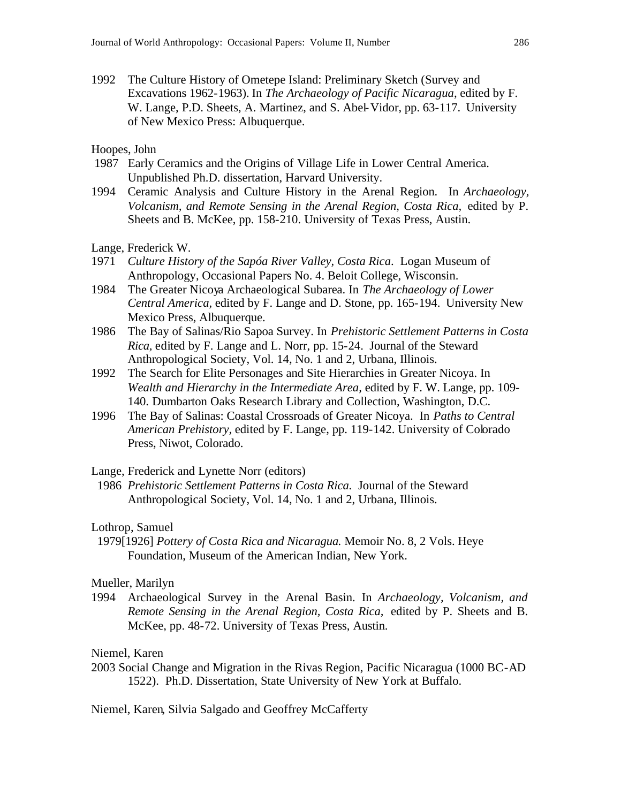1992 The Culture History of Ometepe Island: Preliminary Sketch (Survey and Excavations 1962-1963). In *The Archaeology of Pacific Nicaragua*, edited by F. W. Lange, P.D. Sheets, A. Martinez, and S. Abel-Vidor, pp. 63-117. University of New Mexico Press: Albuquerque.

# Hoopes, John

- 1987 Early Ceramics and the Origins of Village Life in Lower Central America. Unpublished Ph.D. dissertation, Harvard University.
- 1994 Ceramic Analysis and Culture History in the Arenal Region. In *Archaeology, Volcanism, and Remote Sensing in the Arenal Region, Costa Rica,* edited by P. Sheets and B. McKee, pp. 158-210. University of Texas Press, Austin.

Lange, Frederick W.

- 1971 *Culture History of the Sapóa River Valley, Costa Rica*. Logan Museum of Anthropology, Occasional Papers No. 4. Beloit College, Wisconsin.
- 1984 The Greater Nicoya Archaeological Subarea. In *The Archaeology of Lower Central America,* edited by F. Lange and D. Stone, pp. 165-194. University New Mexico Press, Albuquerque.
- 1986 The Bay of Salinas/Rio Sapoa Survey. In *Prehistoric Settlement Patterns in Costa Rica,* edited by F. Lange and L. Norr, pp. 15-24.Journal of the Steward Anthropological Society, Vol. 14, No. 1 and 2, Urbana, Illinois.
- 1992 The Search for Elite Personages and Site Hierarchies in Greater Nicoya. In *Wealth and Hierarchy in the Intermediate Area,* edited by F. W. Lange, pp. 109- 140. Dumbarton Oaks Research Library and Collection, Washington, D.C.
- 1996 The Bay of Salinas: Coastal Crossroads of Greater Nicoya. In *Paths to Central American Prehistory,* edited by F. Lange, pp. 119-142. University of Colorado Press, Niwot, Colorado.

Lange, Frederick and Lynette Norr (editors)

1986 *Prehistoric Settlement Patterns in Costa Rica.* Journal of the Steward Anthropological Society, Vol. 14, No. 1 and 2, Urbana, Illinois.

## Lothrop, Samuel

 1979[1926] *Pottery of Costa Rica and Nicaragua.* Memoir No. 8, 2 Vols. Heye Foundation, Museum of the American Indian, New York.

## Mueller, Marilyn

1994 Archaeological Survey in the Arenal Basin. In *Archaeology, Volcanism, and Remote Sensing in the Arenal Region, Costa Rica,* edited by P. Sheets and B. McKee, pp. 48-72. University of Texas Press, Austin.

# Niemel, Karen

2003 Social Change and Migration in the Rivas Region, Pacific Nicaragua (1000 BC-AD 1522). Ph.D. Dissertation, State University of New York at Buffalo.

Niemel, Karen, Silvia Salgado and Geoffrey McCafferty